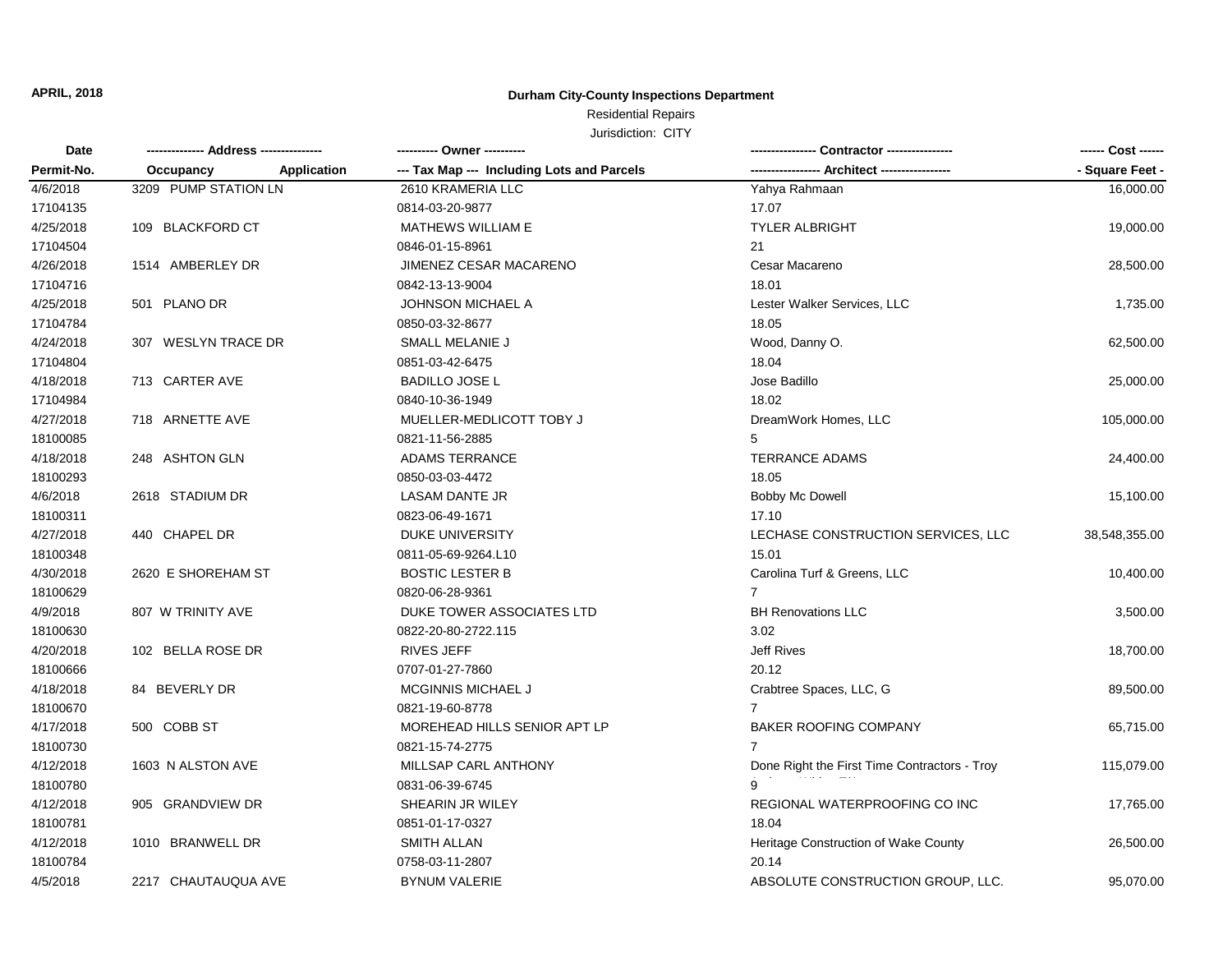#### **Durham City-County Inspections Department**

# Residential Repairs

| Date<br>Permit-No. |                      |                    | ---------- Owner ----------                |                                              | ------ Cost ------ |
|--------------------|----------------------|--------------------|--------------------------------------------|----------------------------------------------|--------------------|
|                    | Occupancy            | <b>Application</b> | --- Tax Map --- Including Lots and Parcels |                                              | - Square Feet -    |
| 4/6/2018           | 3209 PUMP STATION LN |                    | 2610 KRAMERIA LLC                          | Yahya Rahmaan                                | 16,000.00          |
| 17104135           |                      |                    | 0814-03-20-9877                            | 17.07                                        |                    |
| 4/25/2018          | 109 BLACKFORD CT     |                    | <b>MATHEWS WILLIAM E</b>                   | <b>TYLER ALBRIGHT</b>                        | 19,000.00          |
| 17104504           |                      |                    | 0846-01-15-8961                            | 21                                           |                    |
| 4/26/2018          | 1514 AMBERLEY DR     |                    | JIMENEZ CESAR MACARENO                     | Cesar Macareno                               | 28,500.00          |
| 17104716           |                      |                    | 0842-13-13-9004                            | 18.01                                        |                    |
| 4/25/2018          | 501 PLANO DR         |                    | <b>JOHNSON MICHAEL A</b>                   | Lester Walker Services, LLC                  | 1,735.00           |
| 17104784           |                      |                    | 0850-03-32-8677                            | 18.05                                        |                    |
| 4/24/2018          | 307 WESLYN TRACE DR  |                    | SMALL MELANIE J                            | Wood, Danny O.                               | 62,500.00          |
| 17104804           |                      |                    | 0851-03-42-6475                            | 18.04                                        |                    |
| 4/18/2018          | 713 CARTER AVE       |                    | <b>BADILLO JOSE L</b>                      | Jose Badillo                                 | 25,000.00          |
| 17104984           |                      |                    | 0840-10-36-1949                            | 18.02                                        |                    |
| 4/27/2018          | 718 ARNETTE AVE      |                    | MUELLER-MEDLICOTT TOBY J                   | DreamWork Homes, LLC                         | 105,000.00         |
| 18100085           |                      |                    | 0821-11-56-2885                            | 5                                            |                    |
| 4/18/2018          | 248 ASHTON GLN       |                    | <b>ADAMS TERRANCE</b>                      | <b>TERRANCE ADAMS</b>                        | 24,400.00          |
| 18100293           |                      |                    | 0850-03-03-4472                            | 18.05                                        |                    |
| 4/6/2018           | 2618 STADIUM DR      |                    | <b>LASAM DANTE JR</b>                      | Bobby Mc Dowell                              | 15,100.00          |
| 18100311           |                      |                    | 0823-06-49-1671                            | 17.10                                        |                    |
| 4/27/2018          | 440 CHAPEL DR        |                    | <b>DUKE UNIVERSITY</b>                     | LECHASE CONSTRUCTION SERVICES, LLC           | 38,548,355.00      |
| 18100348           |                      |                    | 0811-05-69-9264.L10                        | 15.01                                        |                    |
| 4/30/2018          | 2620 E SHOREHAM ST   |                    | <b>BOSTIC LESTER B</b>                     | Carolina Turf & Greens, LLC                  | 10,400.00          |
| 18100629           |                      |                    | 0820-06-28-9361                            | 7                                            |                    |
| 4/9/2018           | 807 W TRINITY AVE    |                    | DUKE TOWER ASSOCIATES LTD                  | <b>BH Renovations LLC</b>                    | 3,500.00           |
| 18100630           |                      |                    | 0822-20-80-2722.115                        | 3.02                                         |                    |
| 4/20/2018          | 102 BELLA ROSE DR    |                    | <b>RIVES JEFF</b>                          | <b>Jeff Rives</b>                            | 18,700.00          |
| 18100666           |                      |                    | 0707-01-27-7860                            | 20.12                                        |                    |
| 4/18/2018          | 84 BEVERLY DR        |                    | <b>MCGINNIS MICHAEL J</b>                  | Crabtree Spaces, LLC, G                      | 89,500.00          |
| 18100670           |                      |                    | 0821-19-60-8778                            | $\overline{7}$                               |                    |
| 4/17/2018          | 500 COBB ST          |                    | MOREHEAD HILLS SENIOR APT LP               | <b>BAKER ROOFING COMPANY</b>                 | 65,715.00          |
| 18100730           |                      |                    | 0821-15-74-2775                            | 7                                            |                    |
| 4/12/2018          | 1603 N ALSTON AVE    |                    | MILLSAP CARL ANTHONY                       | Done Right the First Time Contractors - Troy | 115,079.00         |
| 18100780           |                      |                    | 0831-06-39-6745                            |                                              |                    |
| 4/12/2018          | 905 GRANDVIEW DR     |                    | SHEARIN JR WILEY                           | REGIONAL WATERPROOFING CO INC                | 17,765.00          |
| 18100781           |                      |                    | 0851-01-17-0327                            | 18.04                                        |                    |
| 4/12/2018          | 1010 BRANWELL DR     |                    | <b>SMITH ALLAN</b>                         | Heritage Construction of Wake County         | 26,500.00          |
| 18100784           |                      |                    | 0758-03-11-2807                            | 20.14                                        |                    |
| 4/5/2018           | 2217 CHAUTAUQUA AVE  |                    | <b>BYNUM VALERIE</b>                       | ABSOLUTE CONSTRUCTION GROUP, LLC.            | 95,070.00          |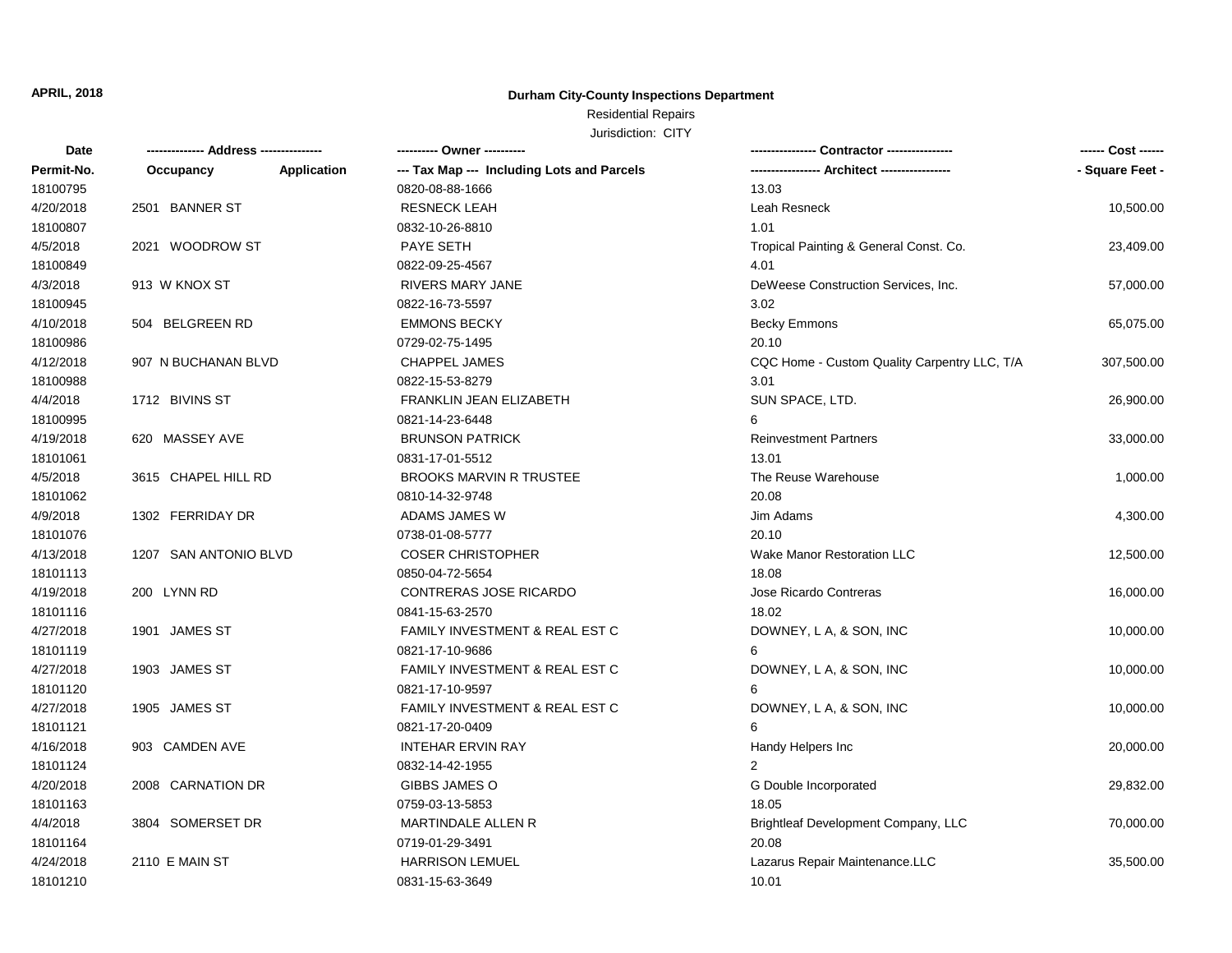#### **Durham City-County Inspections Department**

# Residential Repairs

| Date       | ------------- Address -------------- |             | ---------- Owner ----------                |                                              | ------ Cost ------ |
|------------|--------------------------------------|-------------|--------------------------------------------|----------------------------------------------|--------------------|
| Permit-No. | Occupancy                            | Application | --- Tax Map --- Including Lots and Parcels |                                              | - Square Feet -    |
| 18100795   |                                      |             | 0820-08-88-1666                            | 13.03                                        |                    |
| 4/20/2018  | 2501 BANNER ST                       |             | <b>RESNECK LEAH</b>                        | Leah Resneck                                 | 10,500.00          |
| 18100807   |                                      |             | 0832-10-26-8810                            | 1.01                                         |                    |
| 4/5/2018   | 2021 WOODROW ST                      |             | <b>PAYE SETH</b>                           | Tropical Painting & General Const. Co.       | 23,409.00          |
| 18100849   |                                      |             | 0822-09-25-4567                            | 4.01                                         |                    |
| 4/3/2018   | 913 W KNOX ST                        |             | <b>RIVERS MARY JANE</b>                    | DeWeese Construction Services, Inc.          | 57,000.00          |
| 18100945   |                                      |             | 0822-16-73-5597                            | 3.02                                         |                    |
| 4/10/2018  | 504 BELGREEN RD                      |             | <b>EMMONS BECKY</b>                        | <b>Becky Emmons</b>                          | 65,075.00          |
| 18100986   |                                      |             | 0729-02-75-1495                            | 20.10                                        |                    |
| 4/12/2018  | 907 N BUCHANAN BLVD                  |             | <b>CHAPPEL JAMES</b>                       | CQC Home - Custom Quality Carpentry LLC, T/A | 307,500.00         |
| 18100988   |                                      |             | 0822-15-53-8279                            | 3.01                                         |                    |
| 4/4/2018   | 1712 BIVINS ST                       |             | FRANKLIN JEAN ELIZABETH                    | SUN SPACE, LTD.                              | 26,900.00          |
| 18100995   |                                      |             | 0821-14-23-6448                            | 6                                            |                    |
| 4/19/2018  | 620 MASSEY AVE                       |             | <b>BRUNSON PATRICK</b>                     | <b>Reinvestment Partners</b>                 | 33,000.00          |
| 18101061   |                                      |             | 0831-17-01-5512                            | 13.01                                        |                    |
| 4/5/2018   | 3615 CHAPEL HILL RD                  |             | <b>BROOKS MARVIN R TRUSTEE</b>             | The Reuse Warehouse                          | 1,000.00           |
| 18101062   |                                      |             | 0810-14-32-9748                            | 20.08                                        |                    |
| 4/9/2018   | 1302 FERRIDAY DR                     |             | ADAMS JAMES W                              | Jim Adams                                    | 4,300.00           |
| 18101076   |                                      |             | 0738-01-08-5777                            | 20.10                                        |                    |
| 4/13/2018  | 1207 SAN ANTONIO BLVD                |             | <b>COSER CHRISTOPHER</b>                   | Wake Manor Restoration LLC                   | 12,500.00          |
| 18101113   |                                      |             | 0850-04-72-5654                            | 18.08                                        |                    |
| 4/19/2018  | 200 LYNN RD                          |             | CONTRERAS JOSE RICARDO                     | Jose Ricardo Contreras                       | 16,000.00          |
| 18101116   |                                      |             | 0841-15-63-2570                            | 18.02                                        |                    |
| 4/27/2018  | 1901 JAMES ST                        |             | FAMILY INVESTMENT & REAL EST C             | DOWNEY, L A, & SON, INC                      | 10,000.00          |
| 18101119   |                                      |             | 0821-17-10-9686                            | 6                                            |                    |
| 4/27/2018  | 1903 JAMES ST                        |             | FAMILY INVESTMENT & REAL EST C             | DOWNEY, L A, & SON, INC                      | 10,000.00          |
| 18101120   |                                      |             | 0821-17-10-9597                            | 6                                            |                    |
| 4/27/2018  | 1905 JAMES ST                        |             | FAMILY INVESTMENT & REAL EST C             | DOWNEY, L A, & SON, INC                      | 10,000.00          |
| 18101121   |                                      |             | 0821-17-20-0409                            | 6                                            |                    |
| 4/16/2018  | 903 CAMDEN AVE                       |             | <b>INTEHAR ERVIN RAY</b>                   | Handy Helpers Inc                            | 20,000.00          |
| 18101124   |                                      |             | 0832-14-42-1955                            | 2                                            |                    |
| 4/20/2018  | 2008 CARNATION DR                    |             | <b>GIBBS JAMES O</b>                       | G Double Incorporated                        | 29,832.00          |
| 18101163   |                                      |             | 0759-03-13-5853                            | 18.05                                        |                    |
| 4/4/2018   | 3804 SOMERSET DR                     |             | <b>MARTINDALE ALLEN R</b>                  | Brightleaf Development Company, LLC          | 70,000.00          |
| 18101164   |                                      |             | 0719-01-29-3491                            | 20.08                                        |                    |
| 4/24/2018  | 2110 E MAIN ST                       |             | <b>HARRISON LEMUEL</b>                     | Lazarus Repair Maintenance.LLC               | 35,500.00          |
| 18101210   |                                      |             | 0831-15-63-3649                            | 10.01                                        |                    |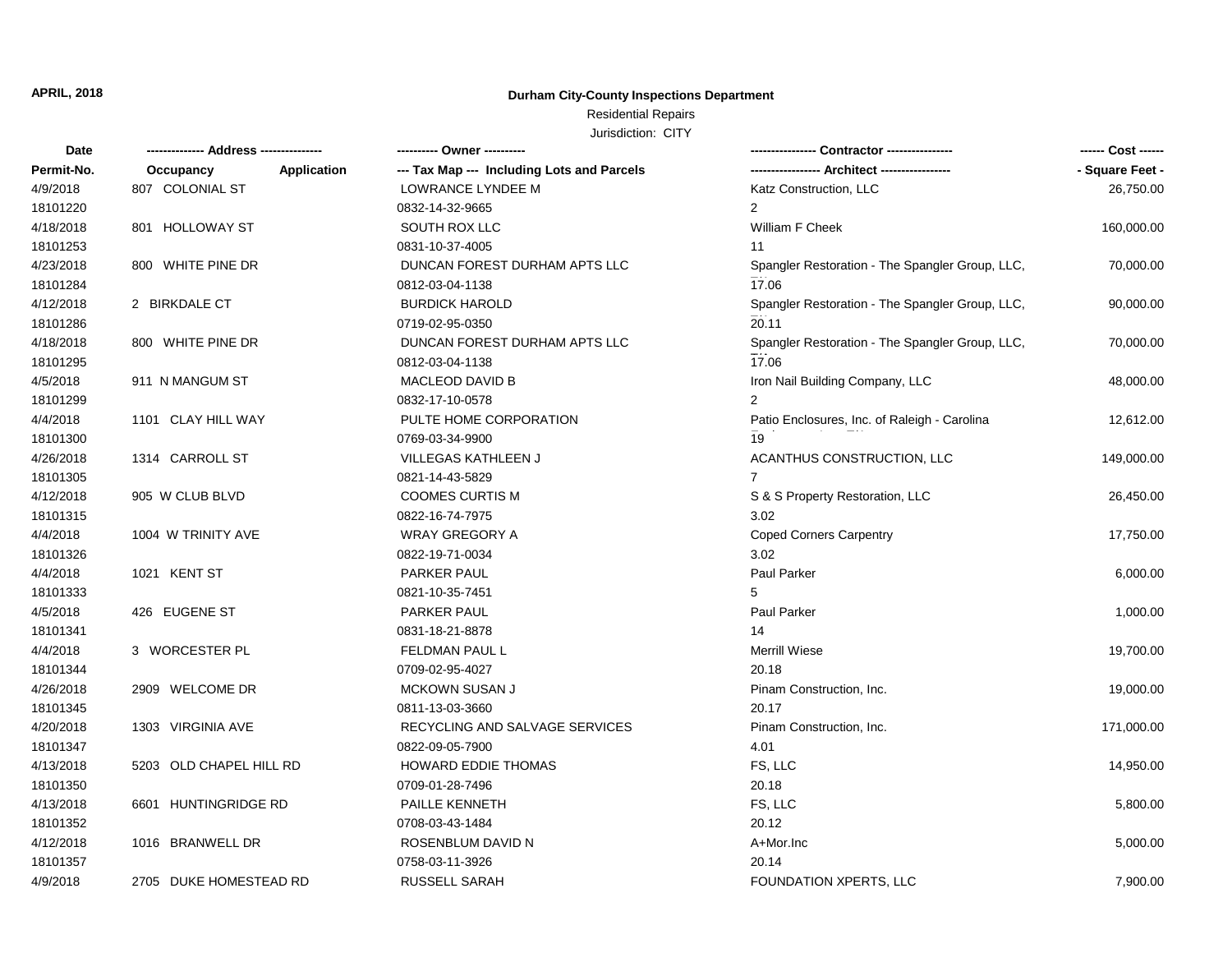#### **Durham City-County Inspections Department**

# Residential Repairs

| Date       |                                 | ---------- Owner ----------                |                                                 | ------ Cost ------ |
|------------|---------------------------------|--------------------------------------------|-------------------------------------------------|--------------------|
| Permit-No. | Occupancy<br><b>Application</b> | --- Tax Map --- Including Lots and Parcels |                                                 | - Square Feet -    |
| 4/9/2018   | 807 COLONIAL ST                 | LOWRANCE LYNDEE M                          | Katz Construction, LLC                          | 26,750.00          |
| 18101220   |                                 | 0832-14-32-9665                            | 2                                               |                    |
| 4/18/2018  | 801 HOLLOWAY ST                 | SOUTH ROX LLC                              | William F Cheek                                 | 160,000.00         |
| 18101253   |                                 | 0831-10-37-4005                            | 11                                              |                    |
| 4/23/2018  | 800 WHITE PINE DR               | DUNCAN FOREST DURHAM APTS LLC              | Spangler Restoration - The Spangler Group, LLC, | 70,000.00          |
| 18101284   |                                 | 0812-03-04-1138                            | 17.06                                           |                    |
| 4/12/2018  | 2 BIRKDALE CT                   | <b>BURDICK HAROLD</b>                      | Spangler Restoration - The Spangler Group, LLC, | 90,000.00          |
| 18101286   |                                 | 0719-02-95-0350                            | 20.11                                           |                    |
| 4/18/2018  | 800 WHITE PINE DR               | DUNCAN FOREST DURHAM APTS LLC              | Spangler Restoration - The Spangler Group, LLC, | 70,000.00          |
| 18101295   |                                 | 0812-03-04-1138                            | 17.06                                           |                    |
| 4/5/2018   | 911 N MANGUM ST                 | <b>MACLEOD DAVID B</b>                     | Iron Nail Building Company, LLC                 | 48,000.00          |
| 18101299   |                                 | 0832-17-10-0578                            | 2                                               |                    |
| 4/4/2018   | 1101 CLAY HILL WAY              | PULTE HOME CORPORATION                     | Patio Enclosures, Inc. of Raleigh - Carolina    | 12,612.00          |
| 18101300   |                                 | 0769-03-34-9900                            | 19                                              |                    |
| 4/26/2018  | 1314 CARROLL ST                 | VILLEGAS KATHLEEN J                        | ACANTHUS CONSTRUCTION, LLC                      | 149,000.00         |
| 18101305   |                                 | 0821-14-43-5829                            |                                                 |                    |
| 4/12/2018  | 905 W CLUB BLVD                 | <b>COOMES CURTIS M</b>                     | S & S Property Restoration, LLC                 | 26,450.00          |
| 18101315   |                                 | 0822-16-74-7975                            | 3.02                                            |                    |
| 4/4/2018   | 1004 W TRINITY AVE              | <b>WRAY GREGORY A</b>                      | <b>Coped Corners Carpentry</b>                  | 17,750.00          |
| 18101326   |                                 | 0822-19-71-0034                            | 3.02                                            |                    |
| 4/4/2018   | 1021 KENT ST                    | PARKER PAUL                                | Paul Parker                                     | 6,000.00           |
| 18101333   |                                 | 0821-10-35-7451                            | 5                                               |                    |
| 4/5/2018   | 426 EUGENE ST                   | PARKER PAUL                                | Paul Parker                                     | 1,000.00           |
| 18101341   |                                 | 0831-18-21-8878                            | 14                                              |                    |
| 4/4/2018   | 3 WORCESTER PL                  | FELDMAN PAUL L                             | <b>Merrill Wiese</b>                            | 19,700.00          |
| 18101344   |                                 | 0709-02-95-4027                            | 20.18                                           |                    |
| 4/26/2018  | 2909 WELCOME DR                 | MCKOWN SUSAN J                             | Pinam Construction, Inc.                        | 19,000.00          |
| 18101345   |                                 | 0811-13-03-3660                            | 20.17                                           |                    |
| 4/20/2018  | 1303 VIRGINIA AVE               | RECYCLING AND SALVAGE SERVICES             | Pinam Construction, Inc.                        | 171,000.00         |
| 18101347   |                                 | 0822-09-05-7900                            | 4.01                                            |                    |
| 4/13/2018  | 5203 OLD CHAPEL HILL RD         | <b>HOWARD EDDIE THOMAS</b>                 | FS, LLC                                         | 14,950.00          |
| 18101350   |                                 | 0709-01-28-7496                            | 20.18                                           |                    |
| 4/13/2018  | 6601 HUNTINGRIDGE RD            | PAILLE KENNETH                             | FS, LLC                                         | 5,800.00           |
| 18101352   |                                 | 0708-03-43-1484                            | 20.12                                           |                    |
| 4/12/2018  | 1016 BRANWELL DR                | ROSENBLUM DAVID N                          | A+Mor.Inc                                       | 5,000.00           |
| 18101357   |                                 | 0758-03-11-3926                            | 20.14                                           |                    |
| 4/9/2018   | 2705 DUKE HOMESTEAD RD          | <b>RUSSELL SARAH</b>                       | <b>FOUNDATION XPERTS, LLC</b>                   | 7,900.00           |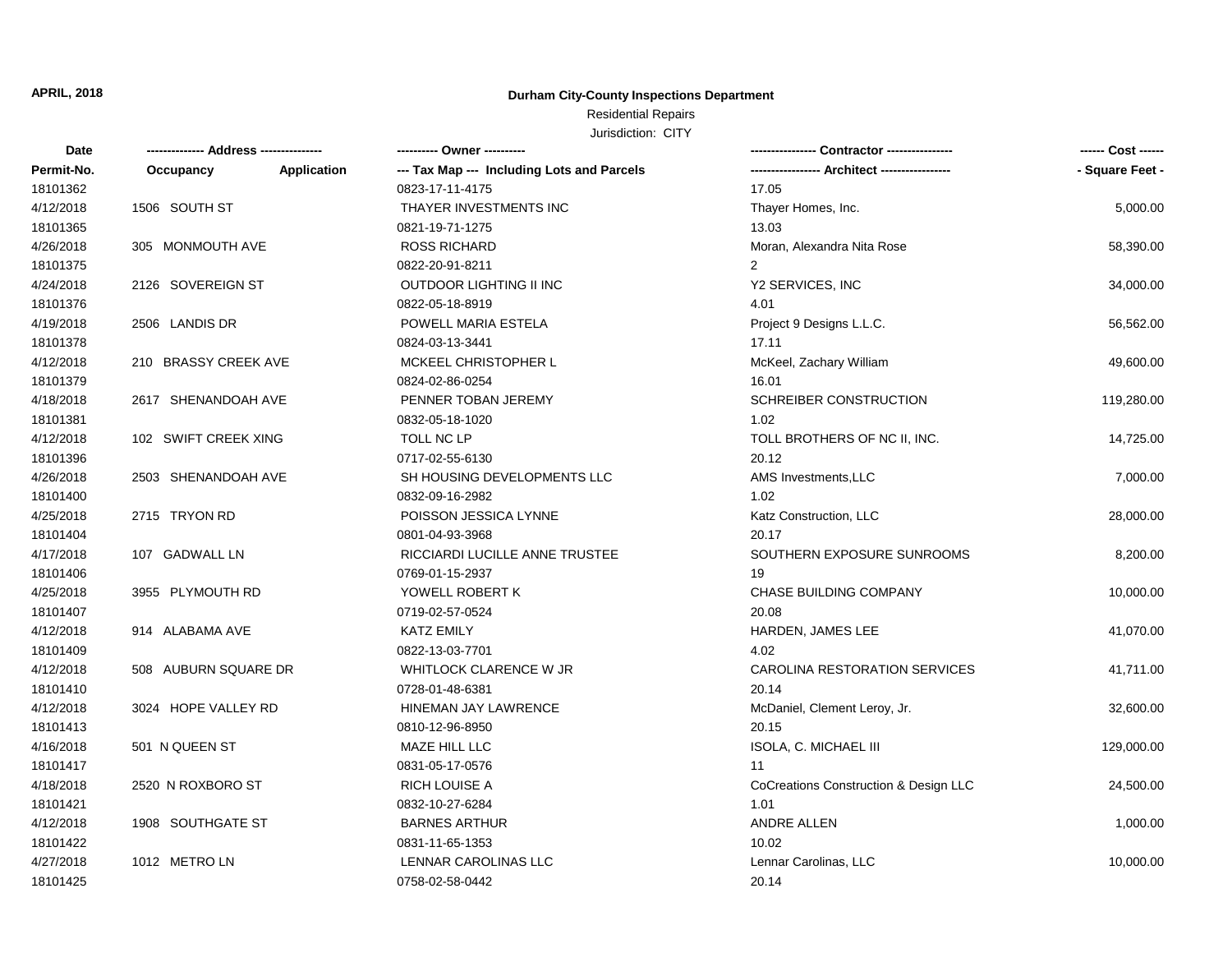#### **Durham City-County Inspections Department**

## Residential Repairs

| <b>Date</b> |                      |                    | ---------- Owner ----------                |                                       | ------ Cost ------ |
|-------------|----------------------|--------------------|--------------------------------------------|---------------------------------------|--------------------|
| Permit-No.  | Occupancy            | <b>Application</b> | --- Tax Map --- Including Lots and Parcels | -- Architect ----------               | - Square Feet -    |
| 18101362    |                      |                    | 0823-17-11-4175                            | 17.05                                 |                    |
| 4/12/2018   | 1506 SOUTH ST        |                    | THAYER INVESTMENTS INC                     | Thayer Homes, Inc.                    | 5,000.00           |
| 18101365    |                      |                    | 0821-19-71-1275                            | 13.03                                 |                    |
| 4/26/2018   | 305 MONMOUTH AVE     |                    | <b>ROSS RICHARD</b>                        | Moran, Alexandra Nita Rose            | 58,390.00          |
| 18101375    |                      |                    | 0822-20-91-8211                            | 2                                     |                    |
| 4/24/2018   | 2126 SOVEREIGN ST    |                    | <b>OUTDOOR LIGHTING II INC</b>             | Y2 SERVICES, INC                      | 34,000.00          |
| 18101376    |                      |                    | 0822-05-18-8919                            | 4.01                                  |                    |
| 4/19/2018   | 2506 LANDIS DR       |                    | POWELL MARIA ESTELA                        | Project 9 Designs L.L.C.              | 56,562.00          |
| 18101378    |                      |                    | 0824-03-13-3441                            | 17.11                                 |                    |
| 4/12/2018   | 210 BRASSY CREEK AVE |                    | MCKEEL CHRISTOPHER L                       | McKeel, Zachary William               | 49,600.00          |
| 18101379    |                      |                    | 0824-02-86-0254                            | 16.01                                 |                    |
| 4/18/2018   | 2617 SHENANDOAH AVE  |                    | PENNER TOBAN JEREMY                        | <b>SCHREIBER CONSTRUCTION</b>         | 119,280.00         |
| 18101381    |                      |                    | 0832-05-18-1020                            | 1.02                                  |                    |
| 4/12/2018   | 102 SWIFT CREEK XING |                    | TOLL NC LP                                 | TOLL BROTHERS OF NC II, INC.          | 14,725.00          |
| 18101396    |                      |                    | 0717-02-55-6130                            | 20.12                                 |                    |
| 4/26/2018   | 2503 SHENANDOAH AVE  |                    | SH HOUSING DEVELOPMENTS LLC                | AMS Investments, LLC                  | 7,000.00           |
| 18101400    |                      |                    | 0832-09-16-2982                            | 1.02                                  |                    |
| 4/25/2018   | 2715 TRYON RD        |                    | POISSON JESSICA LYNNE                      | Katz Construction, LLC                | 28,000.00          |
| 18101404    |                      |                    | 0801-04-93-3968                            | 20.17                                 |                    |
| 4/17/2018   | 107 GADWALL LN       |                    | RICCIARDI LUCILLE ANNE TRUSTEE             | SOUTHERN EXPOSURE SUNROOMS            | 8,200.00           |
| 18101406    |                      |                    | 0769-01-15-2937                            | 19                                    |                    |
| 4/25/2018   | 3955 PLYMOUTH RD     |                    | YOWELL ROBERT K                            | <b>CHASE BUILDING COMPANY</b>         | 10,000.00          |
| 18101407    |                      |                    | 0719-02-57-0524                            | 20.08                                 |                    |
| 4/12/2018   | 914 ALABAMA AVE      |                    | <b>KATZ EMILY</b>                          | <b>HARDEN, JAMES LEE</b>              | 41,070.00          |
| 18101409    |                      |                    | 0822-13-03-7701                            | 4.02                                  |                    |
| 4/12/2018   | 508 AUBURN SQUARE DR |                    | WHITLOCK CLARENCE W JR                     | CAROLINA RESTORATION SERVICES         | 41,711.00          |
| 18101410    |                      |                    | 0728-01-48-6381                            | 20.14                                 |                    |
| 4/12/2018   | 3024 HOPE VALLEY RD  |                    | HINEMAN JAY LAWRENCE                       | McDaniel, Clement Leroy, Jr.          | 32,600.00          |
| 18101413    |                      |                    | 0810-12-96-8950                            | 20.15                                 |                    |
| 4/16/2018   | 501 N QUEEN ST       |                    | MAZE HILL LLC                              | ISOLA, C. MICHAEL III                 | 129,000.00         |
| 18101417    |                      |                    | 0831-05-17-0576                            | 11                                    |                    |
| 4/18/2018   | 2520 N ROXBORO ST    |                    | <b>RICH LOUISE A</b>                       | CoCreations Construction & Design LLC | 24,500.00          |
| 18101421    |                      |                    | 0832-10-27-6284                            | 1.01                                  |                    |
| 4/12/2018   | 1908 SOUTHGATE ST    |                    | <b>BARNES ARTHUR</b>                       | ANDRE ALLEN                           | 1,000.00           |
| 18101422    |                      |                    | 0831-11-65-1353                            | 10.02                                 |                    |
| 4/27/2018   | 1012 METRO LN        |                    | LENNAR CAROLINAS LLC                       | Lennar Carolinas, LLC                 | 10,000.00          |
| 18101425    |                      |                    | 0758-02-58-0442                            | 20.14                                 |                    |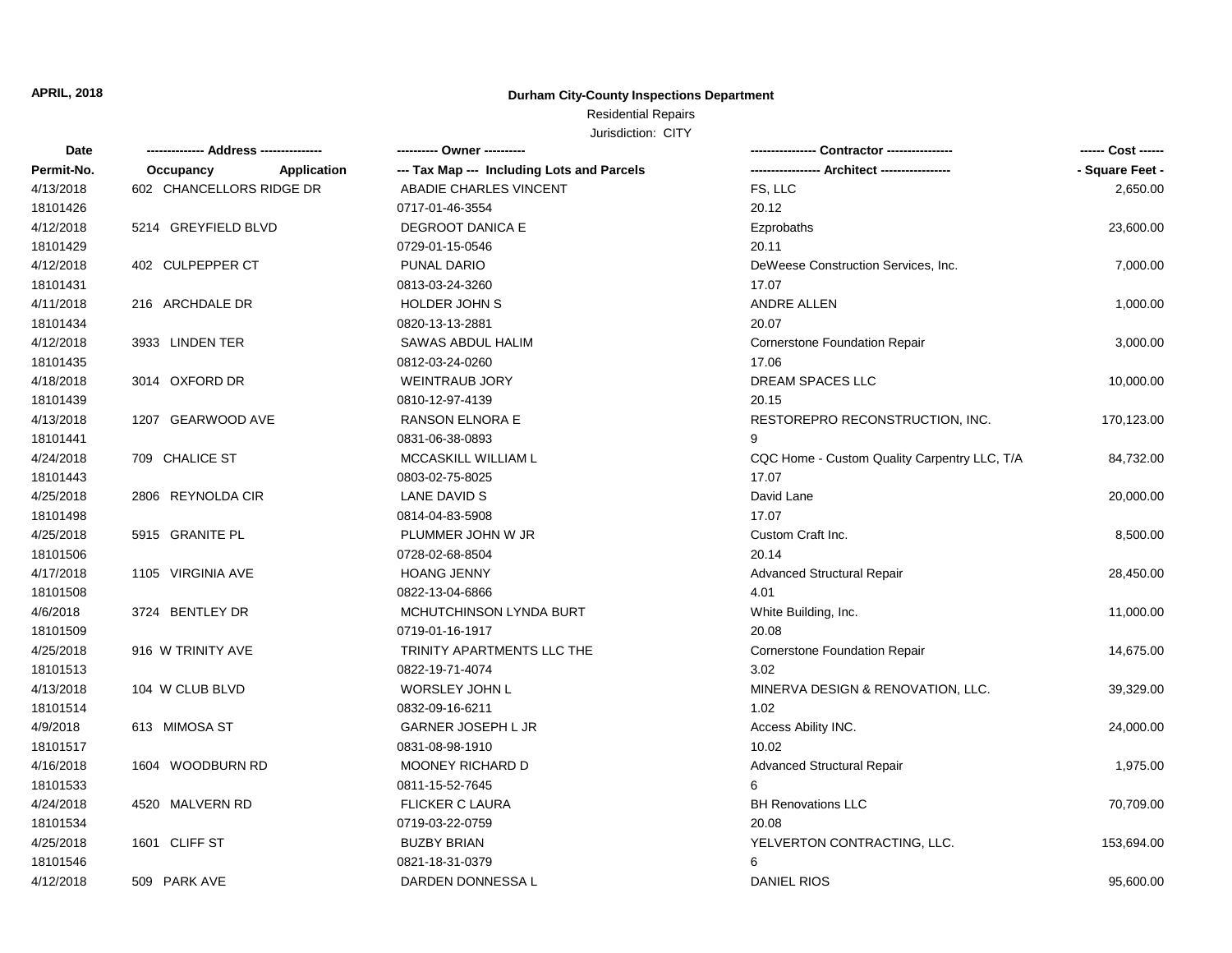#### **Durham City-County Inspections Department**

# Residential Repairs

| - Square Feet -<br>Permit-No.<br><b>Application</b><br>--- Tax Map --- Including Lots and Parcels<br>Occupancy<br>602 CHANCELLORS RIDGE DR<br>FS, LLC<br>4/13/2018<br>ABADIE CHARLES VINCENT<br>2,650.00<br>18101426<br>20.12<br>0717-01-46-3554<br>5214 GREYFIELD BLVD<br>4/12/2018<br><b>DEGROOT DANICA E</b><br>Ezprobaths<br>23,600.00<br>18101429<br>0729-01-15-0546<br>20.11<br>4/12/2018<br>402 CULPEPPER CT<br><b>PUNAL DARIO</b><br>DeWeese Construction Services, Inc.<br>7,000.00<br>17.07<br>18101431<br>0813-03-24-3260<br>4/11/2018<br>216 ARCHDALE DR<br>HOLDER JOHN S<br>ANDRE ALLEN<br>1,000.00<br>18101434<br>0820-13-13-2881<br>20.07<br>4/12/2018<br>3933 LINDEN TER<br>SAWAS ABDUL HALIM<br><b>Cornerstone Foundation Repair</b><br>3,000.00<br>18101435<br>0812-03-24-0260<br>17.06<br>4/18/2018<br>3014 OXFORD DR<br><b>WEINTRAUB JORY</b><br>DREAM SPACES LLC<br>10,000.00<br>20.15<br>18101439<br>0810-12-97-4139<br>4/13/2018<br>1207 GEARWOOD AVE<br><b>RANSON ELNORA E</b><br>RESTOREPRO RECONSTRUCTION, INC.<br>170,123.00 | Date     |
|---------------------------------------------------------------------------------------------------------------------------------------------------------------------------------------------------------------------------------------------------------------------------------------------------------------------------------------------------------------------------------------------------------------------------------------------------------------------------------------------------------------------------------------------------------------------------------------------------------------------------------------------------------------------------------------------------------------------------------------------------------------------------------------------------------------------------------------------------------------------------------------------------------------------------------------------------------------------------------------------------------------------------------------------------------|----------|
|                                                                                                                                                                                                                                                                                                                                                                                                                                                                                                                                                                                                                                                                                                                                                                                                                                                                                                                                                                                                                                                         |          |
|                                                                                                                                                                                                                                                                                                                                                                                                                                                                                                                                                                                                                                                                                                                                                                                                                                                                                                                                                                                                                                                         |          |
|                                                                                                                                                                                                                                                                                                                                                                                                                                                                                                                                                                                                                                                                                                                                                                                                                                                                                                                                                                                                                                                         |          |
|                                                                                                                                                                                                                                                                                                                                                                                                                                                                                                                                                                                                                                                                                                                                                                                                                                                                                                                                                                                                                                                         |          |
|                                                                                                                                                                                                                                                                                                                                                                                                                                                                                                                                                                                                                                                                                                                                                                                                                                                                                                                                                                                                                                                         |          |
|                                                                                                                                                                                                                                                                                                                                                                                                                                                                                                                                                                                                                                                                                                                                                                                                                                                                                                                                                                                                                                                         |          |
|                                                                                                                                                                                                                                                                                                                                                                                                                                                                                                                                                                                                                                                                                                                                                                                                                                                                                                                                                                                                                                                         |          |
|                                                                                                                                                                                                                                                                                                                                                                                                                                                                                                                                                                                                                                                                                                                                                                                                                                                                                                                                                                                                                                                         |          |
|                                                                                                                                                                                                                                                                                                                                                                                                                                                                                                                                                                                                                                                                                                                                                                                                                                                                                                                                                                                                                                                         |          |
|                                                                                                                                                                                                                                                                                                                                                                                                                                                                                                                                                                                                                                                                                                                                                                                                                                                                                                                                                                                                                                                         |          |
|                                                                                                                                                                                                                                                                                                                                                                                                                                                                                                                                                                                                                                                                                                                                                                                                                                                                                                                                                                                                                                                         |          |
|                                                                                                                                                                                                                                                                                                                                                                                                                                                                                                                                                                                                                                                                                                                                                                                                                                                                                                                                                                                                                                                         |          |
|                                                                                                                                                                                                                                                                                                                                                                                                                                                                                                                                                                                                                                                                                                                                                                                                                                                                                                                                                                                                                                                         |          |
|                                                                                                                                                                                                                                                                                                                                                                                                                                                                                                                                                                                                                                                                                                                                                                                                                                                                                                                                                                                                                                                         |          |
| 0831-06-38-0893<br>9                                                                                                                                                                                                                                                                                                                                                                                                                                                                                                                                                                                                                                                                                                                                                                                                                                                                                                                                                                                                                                    | 18101441 |
| 4/24/2018<br>709 CHALICE ST<br>MCCASKILL WILLIAM L<br>CQC Home - Custom Quality Carpentry LLC, T/A<br>84,732.00                                                                                                                                                                                                                                                                                                                                                                                                                                                                                                                                                                                                                                                                                                                                                                                                                                                                                                                                         |          |
| 18101443<br>17.07<br>0803-02-75-8025                                                                                                                                                                                                                                                                                                                                                                                                                                                                                                                                                                                                                                                                                                                                                                                                                                                                                                                                                                                                                    |          |
| 4/25/2018<br>LANE DAVID S<br>David Lane<br>2806 REYNOLDA CIR<br>20,000.00                                                                                                                                                                                                                                                                                                                                                                                                                                                                                                                                                                                                                                                                                                                                                                                                                                                                                                                                                                               |          |
| 18101498<br>17.07<br>0814-04-83-5908                                                                                                                                                                                                                                                                                                                                                                                                                                                                                                                                                                                                                                                                                                                                                                                                                                                                                                                                                                                                                    |          |
| 4/25/2018<br>5915 GRANITE PL<br>PLUMMER JOHN W JR<br>Custom Craft Inc.<br>8,500.00                                                                                                                                                                                                                                                                                                                                                                                                                                                                                                                                                                                                                                                                                                                                                                                                                                                                                                                                                                      |          |
| 20.14<br>18101506<br>0728-02-68-8504                                                                                                                                                                                                                                                                                                                                                                                                                                                                                                                                                                                                                                                                                                                                                                                                                                                                                                                                                                                                                    |          |
| 4/17/2018<br>1105 VIRGINIA AVE<br><b>HOANG JENNY</b><br><b>Advanced Structural Repair</b><br>28,450.00                                                                                                                                                                                                                                                                                                                                                                                                                                                                                                                                                                                                                                                                                                                                                                                                                                                                                                                                                  |          |
| 18101508<br>0822-13-04-6866<br>4.01                                                                                                                                                                                                                                                                                                                                                                                                                                                                                                                                                                                                                                                                                                                                                                                                                                                                                                                                                                                                                     |          |
| 4/6/2018<br>3724 BENTLEY DR<br>MCHUTCHINSON LYNDA BURT<br>White Building, Inc.<br>11,000.00                                                                                                                                                                                                                                                                                                                                                                                                                                                                                                                                                                                                                                                                                                                                                                                                                                                                                                                                                             |          |
| 20.08<br>18101509<br>0719-01-16-1917                                                                                                                                                                                                                                                                                                                                                                                                                                                                                                                                                                                                                                                                                                                                                                                                                                                                                                                                                                                                                    |          |
| 4/25/2018<br>916 W TRINITY AVE<br>TRINITY APARTMENTS LLC THE<br><b>Cornerstone Foundation Repair</b><br>14,675.00                                                                                                                                                                                                                                                                                                                                                                                                                                                                                                                                                                                                                                                                                                                                                                                                                                                                                                                                       |          |
| 3.02<br>18101513<br>0822-19-71-4074                                                                                                                                                                                                                                                                                                                                                                                                                                                                                                                                                                                                                                                                                                                                                                                                                                                                                                                                                                                                                     |          |
| 4/13/2018<br>WORSLEY JOHN L<br>104 W CLUB BLVD<br>MINERVA DESIGN & RENOVATION, LLC.<br>39,329.00                                                                                                                                                                                                                                                                                                                                                                                                                                                                                                                                                                                                                                                                                                                                                                                                                                                                                                                                                        |          |
| 18101514<br>0832-09-16-6211<br>1.02                                                                                                                                                                                                                                                                                                                                                                                                                                                                                                                                                                                                                                                                                                                                                                                                                                                                                                                                                                                                                     |          |
| 4/9/2018<br>613 MIMOSA ST<br><b>GARNER JOSEPH L JR</b><br>Access Ability INC.<br>24,000.00                                                                                                                                                                                                                                                                                                                                                                                                                                                                                                                                                                                                                                                                                                                                                                                                                                                                                                                                                              |          |
| 18101517<br>0831-08-98-1910<br>10.02                                                                                                                                                                                                                                                                                                                                                                                                                                                                                                                                                                                                                                                                                                                                                                                                                                                                                                                                                                                                                    |          |
| 4/16/2018<br><b>MOONEY RICHARD D</b><br>1604 WOODBURN RD<br><b>Advanced Structural Repair</b><br>1,975.00                                                                                                                                                                                                                                                                                                                                                                                                                                                                                                                                                                                                                                                                                                                                                                                                                                                                                                                                               |          |
| 18101533<br>0811-15-52-7645<br>6                                                                                                                                                                                                                                                                                                                                                                                                                                                                                                                                                                                                                                                                                                                                                                                                                                                                                                                                                                                                                        |          |
| 4/24/2018<br>4520 MALVERN RD<br><b>FLICKER C LAURA</b><br><b>BH Renovations LLC</b><br>70,709.00                                                                                                                                                                                                                                                                                                                                                                                                                                                                                                                                                                                                                                                                                                                                                                                                                                                                                                                                                        |          |
| 18101534<br>0719-03-22-0759<br>20.08                                                                                                                                                                                                                                                                                                                                                                                                                                                                                                                                                                                                                                                                                                                                                                                                                                                                                                                                                                                                                    |          |
| 4/25/2018<br>1601 CLIFF ST<br><b>BUZBY BRIAN</b><br>YELVERTON CONTRACTING, LLC.<br>153,694.00                                                                                                                                                                                                                                                                                                                                                                                                                                                                                                                                                                                                                                                                                                                                                                                                                                                                                                                                                           |          |
| 0821-18-31-0379<br>18101546<br>6                                                                                                                                                                                                                                                                                                                                                                                                                                                                                                                                                                                                                                                                                                                                                                                                                                                                                                                                                                                                                        |          |
| DARDEN DONNESSA L<br><b>DANIEL RIOS</b><br>4/12/2018<br>509 PARK AVE<br>95,600.00                                                                                                                                                                                                                                                                                                                                                                                                                                                                                                                                                                                                                                                                                                                                                                                                                                                                                                                                                                       |          |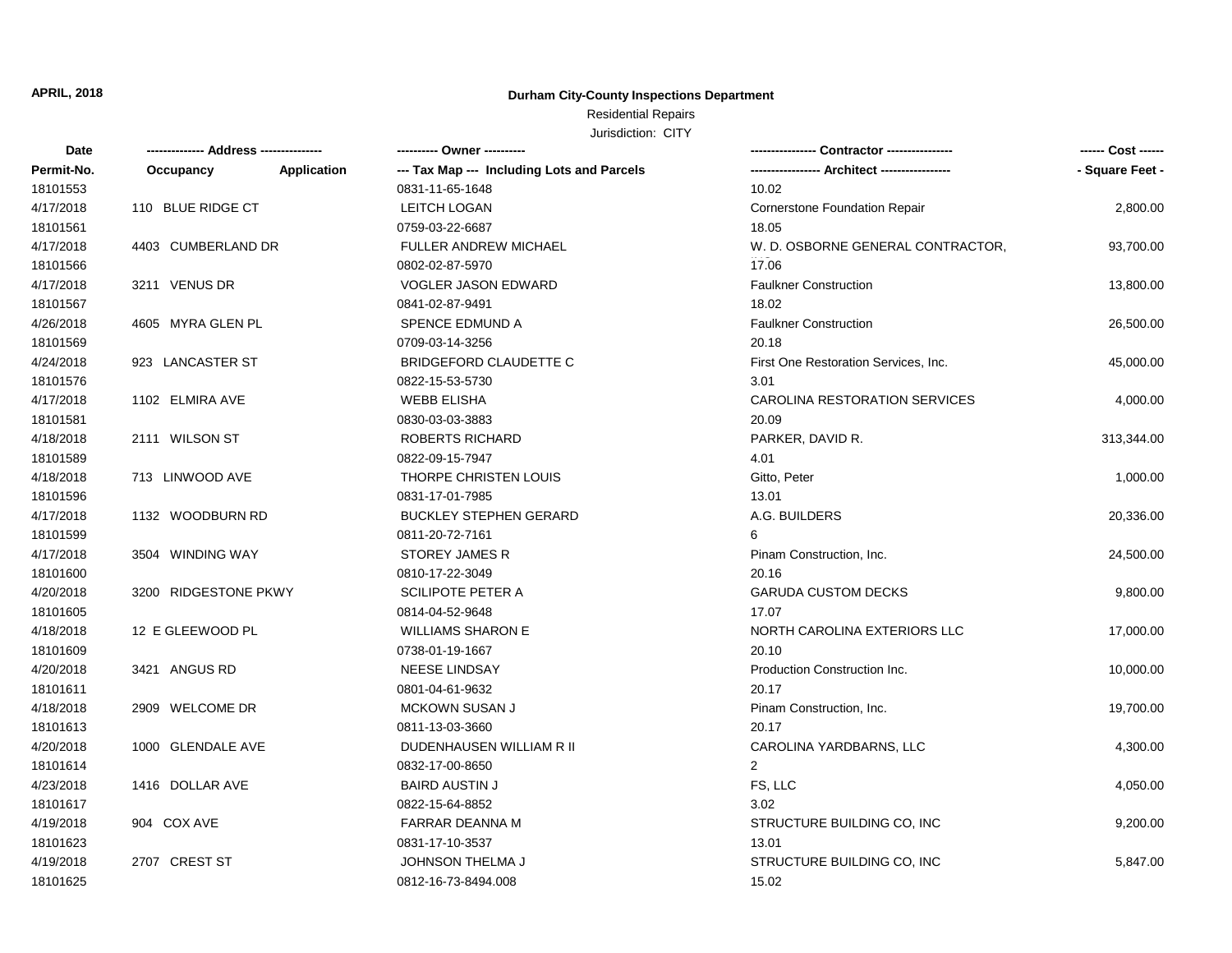#### **Durham City-County Inspections Department**

# Residential Repairs

| Date       | ------------- Address --------------- |                    | ---------- Owner ----------                |                                      | ------ Cost ------ |
|------------|---------------------------------------|--------------------|--------------------------------------------|--------------------------------------|--------------------|
| Permit-No. | Occupancy                             | <b>Application</b> | --- Tax Map --- Including Lots and Parcels |                                      | - Square Feet -    |
| 18101553   |                                       |                    | 0831-11-65-1648                            | 10.02                                |                    |
| 4/17/2018  | 110 BLUE RIDGE CT                     |                    | LEITCH LOGAN                               | <b>Cornerstone Foundation Repair</b> | 2,800.00           |
| 18101561   |                                       |                    | 0759-03-22-6687                            | 18.05                                |                    |
| 4/17/2018  | 4403 CUMBERLAND DR                    |                    | <b>FULLER ANDREW MICHAEL</b>               | W. D. OSBORNE GENERAL CONTRACTOR,    | 93,700.00          |
| 18101566   |                                       |                    | 0802-02-87-5970                            | 17.06                                |                    |
| 4/17/2018  | 3211 VENUS DR                         |                    | <b>VOGLER JASON EDWARD</b>                 | <b>Faulkner Construction</b>         | 13,800.00          |
| 18101567   |                                       |                    | 0841-02-87-9491                            | 18.02                                |                    |
| 4/26/2018  | 4605 MYRA GLEN PL                     |                    | SPENCE EDMUND A                            | <b>Faulkner Construction</b>         | 26,500.00          |
| 18101569   |                                       |                    | 0709-03-14-3256                            | 20.18                                |                    |
| 4/24/2018  | 923 LANCASTER ST                      |                    | <b>BRIDGEFORD CLAUDETTE C</b>              | First One Restoration Services, Inc. | 45,000.00          |
| 18101576   |                                       |                    | 0822-15-53-5730                            | 3.01                                 |                    |
| 4/17/2018  | 1102 ELMIRA AVE                       |                    | <b>WEBB ELISHA</b>                         | CAROLINA RESTORATION SERVICES        | 4,000.00           |
| 18101581   |                                       |                    | 0830-03-03-3883                            | 20.09                                |                    |
| 4/18/2018  | 2111 WILSON ST                        |                    | <b>ROBERTS RICHARD</b>                     | PARKER, DAVID R.                     | 313,344.00         |
| 18101589   |                                       |                    | 0822-09-15-7947                            | 4.01                                 |                    |
| 4/18/2018  | 713 LINWOOD AVE                       |                    | THORPE CHRISTEN LOUIS                      | Gitto, Peter                         | 1,000.00           |
| 18101596   |                                       |                    | 0831-17-01-7985                            | 13.01                                |                    |
| 4/17/2018  | 1132 WOODBURN RD                      |                    | <b>BUCKLEY STEPHEN GERARD</b>              | A.G. BUILDERS                        | 20,336.00          |
| 18101599   |                                       |                    | 0811-20-72-7161                            | 6                                    |                    |
| 4/17/2018  | 3504 WINDING WAY                      |                    | <b>STOREY JAMES R</b>                      | Pinam Construction, Inc.             | 24,500.00          |
| 18101600   |                                       |                    | 0810-17-22-3049                            | 20.16                                |                    |
| 4/20/2018  | 3200 RIDGESTONE PKWY                  |                    | <b>SCILIPOTE PETER A</b>                   | <b>GARUDA CUSTOM DECKS</b>           | 9,800.00           |
| 18101605   |                                       |                    | 0814-04-52-9648                            | 17.07                                |                    |
| 4/18/2018  | 12 E GLEEWOOD PL                      |                    | <b>WILLIAMS SHARON E</b>                   | NORTH CAROLINA EXTERIORS LLC         | 17,000.00          |
| 18101609   |                                       |                    | 0738-01-19-1667                            | 20.10                                |                    |
| 4/20/2018  | 3421 ANGUS RD                         |                    | <b>NEESE LINDSAY</b>                       | Production Construction Inc.         | 10,000.00          |
| 18101611   |                                       |                    | 0801-04-61-9632                            | 20.17                                |                    |
| 4/18/2018  | 2909 WELCOME DR                       |                    | <b>MCKOWN SUSAN J</b>                      | Pinam Construction, Inc.             | 19,700.00          |
| 18101613   |                                       |                    | 0811-13-03-3660                            | 20.17                                |                    |
| 4/20/2018  | 1000 GLENDALE AVE                     |                    | DUDENHAUSEN WILLIAM R II                   | CAROLINA YARDBARNS, LLC              | 4,300.00           |
| 18101614   |                                       |                    | 0832-17-00-8650                            | 2                                    |                    |
| 4/23/2018  | 1416 DOLLAR AVE                       |                    | <b>BAIRD AUSTIN J</b>                      | FS, LLC                              | 4,050.00           |
| 18101617   |                                       |                    | 0822-15-64-8852                            | 3.02                                 |                    |
| 4/19/2018  | 904 COX AVE                           |                    | FARRAR DEANNA M                            | STRUCTURE BUILDING CO, INC           | 9,200.00           |
| 18101623   |                                       |                    | 0831-17-10-3537                            | 13.01                                |                    |
| 4/19/2018  | 2707 CREST ST                         |                    | <b>JOHNSON THELMA J</b>                    | STRUCTURE BUILDING CO, INC           | 5,847.00           |
| 18101625   |                                       |                    | 0812-16-73-8494.008                        | 15.02                                |                    |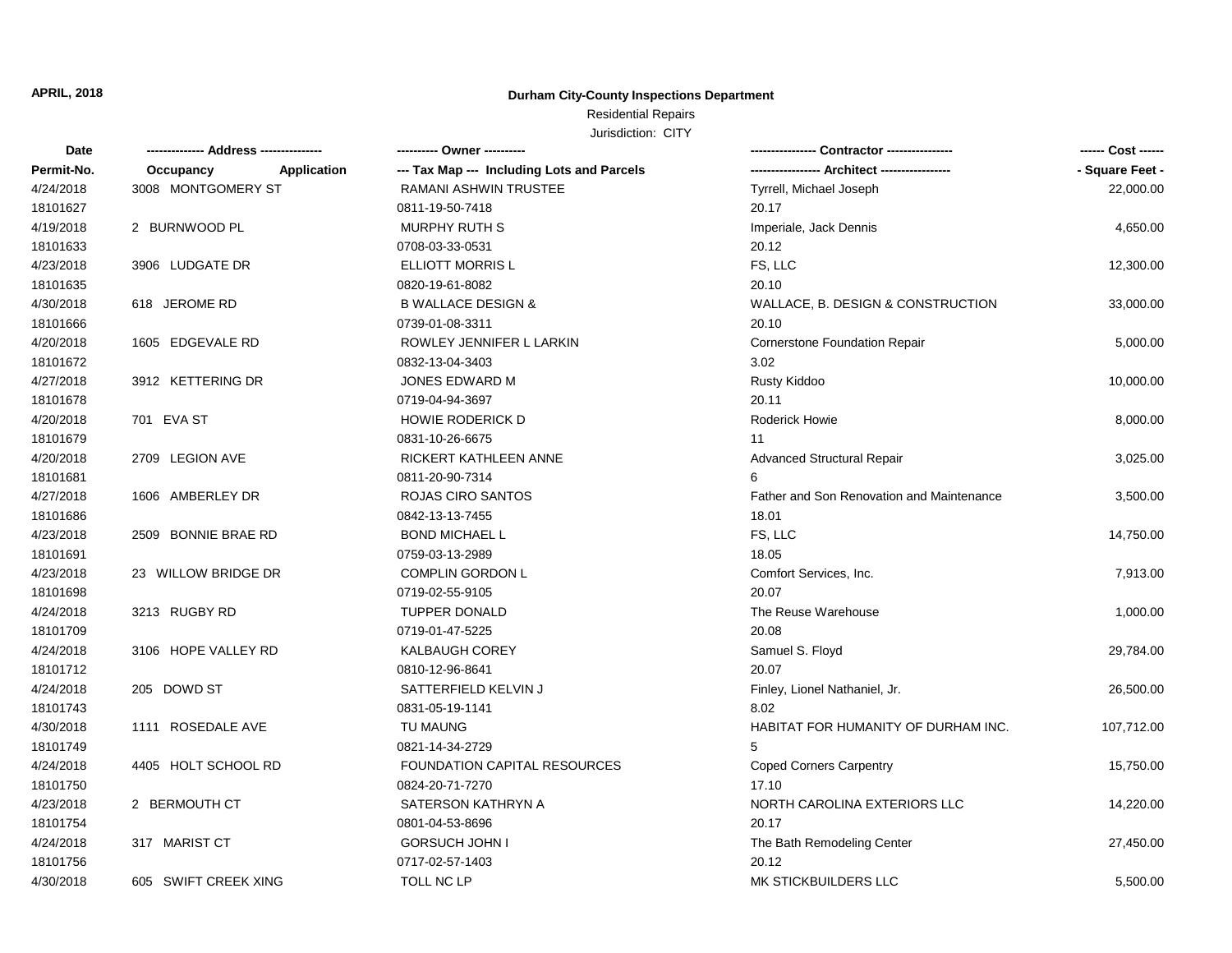#### **Durham City-County Inspections Department**

### Residential Repairs

| Date       | ------------- Address -------------- | ---------- Owner ----------                |                                           |                 |
|------------|--------------------------------------|--------------------------------------------|-------------------------------------------|-----------------|
| Permit-No. | Occupancy<br>Application             | --- Tax Map --- Including Lots and Parcels | -- Architect ------                       | - Square Feet - |
| 4/24/2018  | 3008 MONTGOMERY ST                   | RAMANI ASHWIN TRUSTEE                      | Tyrrell, Michael Joseph                   | 22,000.00       |
| 18101627   |                                      | 0811-19-50-7418                            | 20.17                                     |                 |
| 4/19/2018  | 2 BURNWOOD PL                        | <b>MURPHY RUTH S</b>                       | Imperiale, Jack Dennis                    | 4,650.00        |
| 18101633   |                                      | 0708-03-33-0531                            | 20.12                                     |                 |
| 4/23/2018  | 3906 LUDGATE DR                      | <b>ELLIOTT MORRIS L</b>                    | FS, LLC                                   | 12,300.00       |
| 18101635   |                                      | 0820-19-61-8082                            | 20.10                                     |                 |
| 4/30/2018  | 618 JEROME RD                        | <b>B WALLACE DESIGN &amp;</b>              | WALLACE, B. DESIGN & CONSTRUCTION         | 33,000.00       |
| 18101666   |                                      | 0739-01-08-3311                            | 20.10                                     |                 |
| 4/20/2018  | 1605 EDGEVALE RD                     | ROWLEY JENNIFER L LARKIN                   | <b>Cornerstone Foundation Repair</b>      | 5,000.00        |
| 18101672   |                                      | 0832-13-04-3403                            | 3.02                                      |                 |
| 4/27/2018  | 3912 KETTERING DR                    | JONES EDWARD M                             | Rusty Kiddoo                              | 10,000.00       |
| 18101678   |                                      | 0719-04-94-3697                            | 20.11                                     |                 |
| 4/20/2018  | 701 EVA ST                           | <b>HOWIE RODERICK D</b>                    | Roderick Howie                            | 8,000.00        |
| 18101679   |                                      | 0831-10-26-6675                            | 11                                        |                 |
| 4/20/2018  | 2709 LEGION AVE                      | RICKERT KATHLEEN ANNE                      | <b>Advanced Structural Repair</b>         | 3,025.00        |
| 18101681   |                                      | 0811-20-90-7314                            | 6                                         |                 |
| 4/27/2018  | 1606 AMBERLEY DR                     | ROJAS CIRO SANTOS                          | Father and Son Renovation and Maintenance | 3,500.00        |
| 18101686   |                                      | 0842-13-13-7455                            | 18.01                                     |                 |
| 4/23/2018  | 2509 BONNIE BRAE RD                  | <b>BOND MICHAEL L</b>                      | FS, LLC                                   | 14,750.00       |
| 18101691   |                                      | 0759-03-13-2989                            | 18.05                                     |                 |
| 4/23/2018  | 23 WILLOW BRIDGE DR                  | <b>COMPLIN GORDON L</b>                    | Comfort Services, Inc.                    | 7,913.00        |
| 18101698   |                                      | 0719-02-55-9105                            | 20.07                                     |                 |
| 4/24/2018  | 3213 RUGBY RD                        | <b>TUPPER DONALD</b>                       | The Reuse Warehouse                       | 1,000.00        |
| 18101709   |                                      | 0719-01-47-5225                            | 20.08                                     |                 |
| 4/24/2018  | 3106 HOPE VALLEY RD                  | <b>KALBAUGH COREY</b>                      | Samuel S. Floyd                           | 29,784.00       |
| 18101712   |                                      | 0810-12-96-8641                            | 20.07                                     |                 |
| 4/24/2018  | 205 DOWD ST                          | SATTERFIELD KELVIN J                       | Finley, Lionel Nathaniel, Jr.             | 26,500.00       |
| 18101743   |                                      | 0831-05-19-1141                            | 8.02                                      |                 |
| 4/30/2018  | 1111 ROSEDALE AVE                    | TU MAUNG                                   | HABITAT FOR HUMANITY OF DURHAM INC.       | 107,712.00      |
| 18101749   |                                      | 0821-14-34-2729                            | 5                                         |                 |
| 4/24/2018  | 4405 HOLT SCHOOL RD                  | <b>FOUNDATION CAPITAL RESOURCES</b>        | <b>Coped Corners Carpentry</b>            | 15,750.00       |
| 18101750   |                                      | 0824-20-71-7270                            | 17.10                                     |                 |
| 4/23/2018  | 2 BERMOUTH CT                        | SATERSON KATHRYN A                         | NORTH CAROLINA EXTERIORS LLC              | 14,220.00       |
| 18101754   |                                      | 0801-04-53-8696                            | 20.17                                     |                 |
| 4/24/2018  | 317 MARIST CT                        | <b>GORSUCH JOHN I</b>                      | The Bath Remodeling Center                | 27,450.00       |
| 18101756   |                                      | 0717-02-57-1403                            | 20.12                                     |                 |
| 4/30/2018  | 605 SWIFT CREEK XING                 | <b>TOLL NC LP</b>                          | MK STICKBUILDERS LLC                      | 5,500.00        |